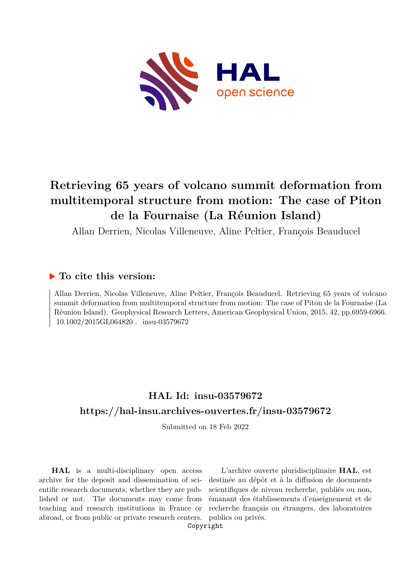

# **Retrieving 65 years of volcano summit deformation from multitemporal structure from motion: The case of Piton de la Fournaise (La Réunion Island)**

Allan Derrien, Nicolas Villeneuve, Aline Peltier, François Beauducel

# **To cite this version:**

Allan Derrien, Nicolas Villeneuve, Aline Peltier, François Beauducel. Retrieving 65 years of volcano summit deformation from multitemporal structure from motion: The case of Piton de la Fournaise (La Réunion Island). Geophysical Research Letters, American Geophysical Union, 2015, 42, pp.6959-6966.  $10.1002/2015$ GL064820 . insu-03579672

# **HAL Id: insu-03579672 <https://hal-insu.archives-ouvertes.fr/insu-03579672>**

Submitted on 18 Feb 2022

**HAL** is a multi-disciplinary open access archive for the deposit and dissemination of scientific research documents, whether they are published or not. The documents may come from teaching and research institutions in France or abroad, or from public or private research centers.

L'archive ouverte pluridisciplinaire **HAL**, est destinée au dépôt et à la diffusion de documents scientifiques de niveau recherche, publiés ou non, émanant des établissements d'enseignement et de recherche français ou étrangers, des laboratoires publics ou privés.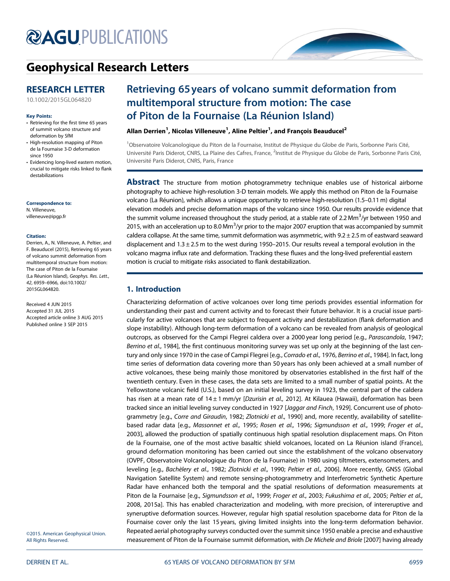# **@AGU[PUBLICATIONS](http://publications.agu.org/journals/)**



# [Geophysical Research Letters](http://onlinelibrary.wiley.com/journal/10.1002/(ISSN)1944-8007)

## RESEARCH LETTER

[10.1002/2015GL064820](http://dx.doi.org/10.1002/2015GL064820)

#### Key Points:

- Retrieving for the first time 65 years of summit volcano structure and deformation by SfM
- High-resolution mapping of Piton de la Fournaise 3-D deformation since 1950
- Evidencing long-lived eastern motion, crucial to mitigate risks linked to flank destabilizations

#### Correspondence to:

N. Villeneuve, villeneuve@ipgp.fr

#### Citation:

Derrien, A., N. Villeneuve, A. Peltier, and F. Beauducel (2015), Retrieving 65 years of volcano summit deformation from multitemporal structure from motion: The case of Piton de la Fournaise (La Réunion Island), Geophys. Res. Lett., 42, 6959–6966, doi:10.1002/ 2015GL064820.

Received 4 JUN 2015 Accepted 31 JUL 2015 Accepted article online 3 AUG 2015 Published online 3 SEP 2015

©2015. American Geophysical Union. All Rights Reserved.

# Retrieving 65 years of volcano summit deformation from multitemporal structure from motion: The case of Piton de la Fournaise (La Réunion Island)

## Allan Derrien<sup>1</sup>, Nicolas Villeneuve<sup>1</sup>, Aline Peltier<sup>1</sup>, and François Beauducel<sup>2</sup>

<sup>1</sup>Observatoire Volcanologique du Piton de la Fournaise, Institut de Physique du Globe de Paris, Sorbonne Paris Cité, Université Paris Diderot, CNRS, La Plaine des Cafres, France, <sup>2</sup>Institut de Physique du Globe de Paris, Sorbonne Paris Cité, Université Paris Diderot, CNRS, Paris, France

**Abstract** The structure from motion photogrammetry technique enables use of historical airborne photography to achieve high-resolution 3-D terrain models. We apply this method on Piton de la Fournaise volcano (La Réunion), which allows a unique opportunity to retrieve high-resolution (1.5–0.11 m) digital elevation models and precise deformation maps of the volcano since 1950. Our results provide evidence that the summit volume increased throughout the study period, at a stable rate of 2.2 Mm<sup>3</sup>/yr between 1950 and 2015, with an acceleration up to 8.0 Mm $^3$ /yr prior to the major 2007 eruption that was accompanied by summit caldera collapse. At the same time, summit deformation was asymmetric, with  $9.2 \pm 2.5$  m of eastward seaward displacement and  $1.3 \pm 2.5$  m to the west during 1950–2015. Our results reveal a temporal evolution in the volcano magma influx rate and deformation. Tracking these fluxes and the long-lived preferential eastern motion is crucial to mitigate risks associated to flank destabilization.

## 1. Introduction

Characterizing deformation of active volcanoes over long time periods provides essential information for understanding their past and current activity and to forecast their future behavior. It is a crucial issue particularly for active volcanoes that are subject to frequent activity and destabilization (flank deformation and slope instability). Although long-term deformation of a volcano can be revealed from analysis of geological outcrops, as observed for the Campi Flegrei caldera over a 2000 year long period [e.g., Parascandola, 1947; Berrino et al., 1984], the first continuous monitoring survey was set up only at the beginning of the last century and only since 1970 in the case of Campi Flegrei [e.g., Corrado et al., 1976, Berrino et al., 1984]. In fact, long time series of deformation data covering more than 50 years has only been achieved at a small number of active volcanoes, these being mainly those monitored by observatories established in the first half of the twentieth century. Even in these cases, the data sets are limited to a small number of spatial points. At the Yellowstone volcanic field (U.S.), based on an initial leveling survey in 1923, the central part of the caldera has risen at a mean rate of  $14 \pm 1$  mm/yr [Dzurisin et al., 2012]. At Kilauea (Hawaii), deformation has been tracked since an initial leveling survey conducted in 1927 [Jaggar and Finch, 1929]. Concurrent use of photogrammetry [e.g., Corre and Giraudin, 1982; Zlotnicki et al., 1990] and, more recently, availability of satellitebased radar data [e.g., Massonnet et al., 1995; Rosen et al., 1996; Sigmundsson et al., 1999; Froger et al., 2003], allowed the production of spatially continuous high spatial resolution displacement maps. On Piton de la Fournaise, one of the most active basaltic shield volcanoes, located on La Réunion island (France), ground deformation monitoring has been carried out since the establishment of the volcano observatory (OVPF, Observatoire Volcanologique du Piton de la Fournaise) in 1980 using tiltmeters, extensometers, and leveling [e.g., Bachèlery et al., 1982; Zlotnicki et al., 1990; Peltier et al., 2006]. More recently, GNSS (Global Navigation Satellite System) and remote sensing-photogrammetry and Interferometric Synthetic Aperture Radar have enhanced both the temporal and the spatial resolutions of deformation measurements at Piton de la Fournaise [e.g., Sigmundsson et al., 1999; Froger et al., 2003; Fukushima et al., 2005; Peltier et al., 2008, 2015a]. This has enabled characterization and modeling, with more precision, of intereruptive and syneruptive deformation sources. However, regular high spatial resolution spaceborne data for Piton de la Fournaise cover only the last 15 years, giving limited insights into the long-term deformation behavior. Repeated aerial photography surveys conducted over the summit since 1950 enable a precise and exhaustive measurement of Piton de la Fournaise summit déformation, with De Michele and Briole [2007] having already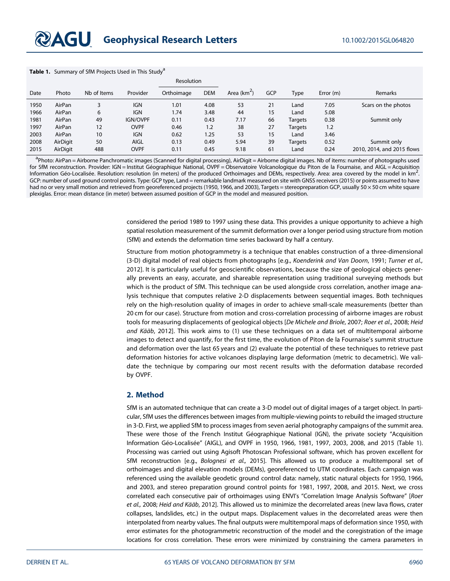#### Table 1. Summary of SfM Projects Used in This Study<sup>a</sup>

|      |          |             |                 | <b>Resolution</b> |            |              |            |         |             |                            |
|------|----------|-------------|-----------------|-------------------|------------|--------------|------------|---------|-------------|----------------------------|
| Date | Photo    | Nb of Items | Provider        | Orthoimage        | <b>DEM</b> | Area $(km2)$ | <b>GCP</b> | Type    | Error $(m)$ | Remarks                    |
| 1950 | AirPan   |             | <b>IGN</b>      | 1.01              | 4.08       | 53           | 21         | Land    | 7.05        | Scars on the photos        |
| 1966 | AirPan   | 6           | <b>IGN</b>      | 1.74              | 3.48       | 44           | 15         | Land    | 5.08        |                            |
| 1981 | AirPan   | 49          | <b>IGN/OVPF</b> | 0.11              | 0.43       | 7.17         | 66         | Targets | 0.38        | Summit only                |
| 1997 | AirPan   | 12          | <b>OVPF</b>     | 0.46              | 1.2        | 38           | 27         | Targets | 1.2         |                            |
| 2003 | AirPan   | 10          | <b>IGN</b>      | 0.62              | 1.25       | 53           | 15         | Land    | 3.46        |                            |
| 2008 | AirDigit | 50          | <b>AIGL</b>     | 0.13              | 0.49       | 5.94         | 39         | Targets | 0.52        | Summit only                |
| 2015 | AirDigit | 488         | <b>OVPF</b>     | 0.11              | 0.45       | 9.18         | 61         | Land    | 0.24        | 2010, 2014, and 2015 flows |

a<br>Photo: AirPan = Airborne Panchromatic images (Scanned for digital processing), AirDigit = Airborne digital images. Nb of items: number of photographs used for SfM reconstruction. Provider: IGN = Institut Géographique National, OVPF = Observatoire Volcanologique du Piton de la Fournaise, and AIGL = Acquisition Information Géo-Localisée. Resolution: resolution (in meters) of the produced Orthoimages and DEMs, respectively. Area: area covered by the model in km<sup>2</sup>. . GCP: number of used ground control points. Type: GCP type, Land = remarkable landmark measured on site with GNSS receivers (2015) or points assumed to have had no or very small motion and retrieved from georeferenced projects (1950, 1966, and 2003), Targets = stereopreparation GCP, usually 50 × 50 cm white square plexiglas. Error: mean distance (in meter) between assumed position of GCP in the model and measured position.

> considered the period 1989 to 1997 using these data. This provides a unique opportunity to achieve a high spatial resolution measurement of the summit deformation over a longer period using structure from motion (SfM) and extends the deformation time series backward by half a century.

> Structure from motion photogrammetry is a technique that enables construction of a three-dimensional (3-D) digital model of real objects from photographs [e.g., Koenderink and Van Doorn, 1991; Turner et al., 2012]. It is particularly useful for geoscientific observations, because the size of geological objects generally prevents an easy, accurate, and shareable representation using traditional surveying methods but which is the product of SfM. This technique can be used alongside cross correlation, another image analysis technique that computes relative 2-D displacements between sequential images. Both techniques rely on the high-resolution quality of images in order to achieve small-scale measurements (better than 20 cm for our case). Structure from motion and cross-correlation processing of airborne images are robust tools for measuring displacements of geological objects [De Michele and Briole, 2007; Roer et al., 2008; Heid and Kääb, 2012]. This work aims to (1) use these techniques on a data set of multitemporal airborne images to detect and quantify, for the first time, the evolution of Piton de la Fournaise's summit structure and deformation over the last 65 years and (2) evaluate the potential of these techniques to retrieve past deformation histories for active volcanoes displaying large deformation (metric to decametric). We validate the technique by comparing our most recent results with the deformation database recorded by OVPF.

### 2. Method

SfM is an automated technique that can create a 3-D model out of digital images of a target object. In particular, SfM uses the differences between images from multiple-viewing points to rebuild the imaged structure in 3-D. First, we applied SfM to process images from seven aerial photography campaigns of the summit area. These were those of the French Institut Géographique National (IGN), the private society "Acquisition Information Géo-Localisée" (AIGL), and OVPF in 1950, 1966, 1981, 1997, 2003, 2008, and 2015 (Table 1). Processing was carried out using Agisoft Photoscan Professional software, which has proven excellent for SfM reconstruction [e.g., Bolognesi et al., 2015]. This allowed us to produce a multitemporal set of orthoimages and digital elevation models (DEMs), georeferenced to UTM coordinates. Each campaign was referenced using the available geodetic ground control data: namely, static natural objects for 1950, 1966, and 2003, and stereo preparation ground control points for 1981, 1997, 2008, and 2015. Next, we cross correlated each consecutive pair of orthoimages using ENVI's "Correlation Image Analysis Software" [Roer et al., 2008; Heid and Kääb, 2012]. This allowed us to minimize the decorrelated areas (new lava flows, crater collapses, landslides, etc.) in the output maps. Displacement values in the decorrelated areas were then interpolated from nearby values. The final outputs were multitemporal maps of deformation since 1950, with error estimates for the photogrammetric reconstruction of the model and the coregistration of the image locations for cross correlation. These errors were minimized by constraining the camera parameters in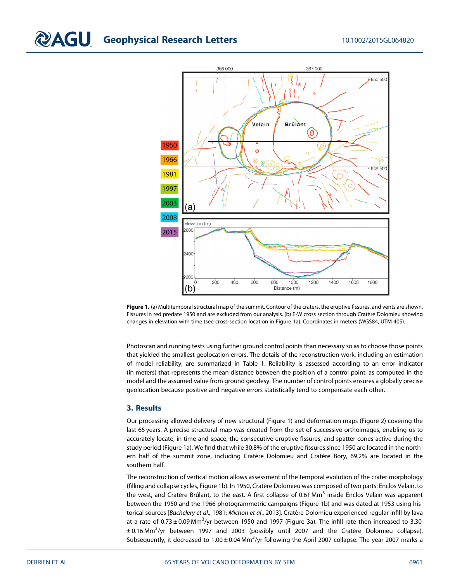# **COLO Geophysical Research Letters** 10.1002/2015GL064820



Figure 1. (a) Multitemporal structural map of the summit. Contour of the craters, the eruptive fissures, and vents are shown. Fissures in red predate 1950 and are excluded from our analysis. (b) E-W cross section through Cratère Dolomieu showing changes in elevation with time (see cross-section location in Figure 1a). Coordinates in meters (WGS84, UTM 40S).

Photoscan and running tests using further ground control points than necessary so as to choose those points that yielded the smallest geolocation errors. The details of the reconstruction work, including an estimation of model reliability, are summarized in Table 1. Reliability is assessed according to an error indicator (in meters) that represents the mean distance between the position of a control point, as computed in the model and the assumed value from ground geodesy. The number of control points ensures a globally precise geolocation because positive and negative errors statistically tend to compensate each other.

## 3. Results

Our processing allowed delivery of new structural (Figure 1) and deformation maps (Figure 2) covering the last 65 years. A precise structural map was created from the set of successive orthoimages, enabling us to accurately locate, in time and space, the consecutive eruptive fissures, and spatter cones active during the study period (Figure 1a). We find that while 30.8% of the eruptive fissures since 1950 are located in the northern half of the summit zone, including Cratère Dolomieu and Cratère Bory, 69.2% are located in the southern half.

The reconstruction of vertical motion allows assessment of the temporal evolution of the crater morphology (filling and collapse cycles, Figure 1b). In 1950, Cratère Dolomieu was composed of two parts: Enclos Velain, to the west, and Cratère Brûlant, to the east. A first collapse of 0.61 Mm<sup>3</sup> inside Enclos Velain was apparent between the 1950 and the 1966 photogrammetric campaigns (Figure 1b) and was dated at 1953 using historical sources [Bachelery et al., 1981; Michon et al., 2013]. Cratère Dolomieu experienced regular infill by lava at a rate of 0.73  $\pm$  0.09 Mm $^3$ /yr between 1950 and 1997 (Figure 3a). The infill rate then increased to 3.30 ± 0.16 Mm3 /yr between 1997 and 2003 (possibly until 2007 and the Cratère Dolomieu collapse). Subsequently, it decreased to 1.00 $\pm$ 0.04 Mm<sup>3</sup>/yr following the April 2007 collapse. The year 2007 marks a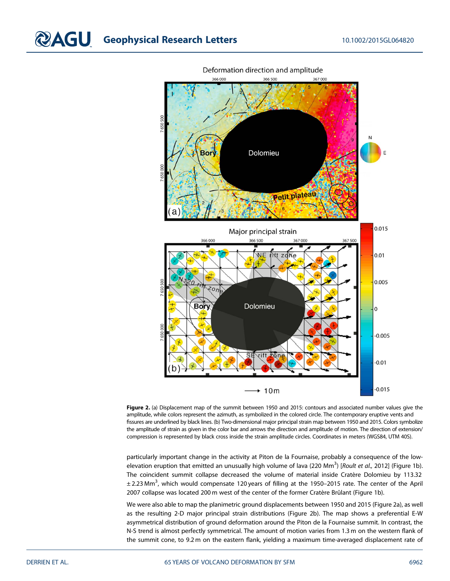

Deformation direction and amplitude

Figure 2. (a) Displacement map of the summit between 1950 and 2015: contours and associated number values give the amplitude, while colors represent the azimuth, as symbolized in the colored circle. The contemporary eruptive vents and fissures are underlined by black lines. (b) Two-dimensional major principal strain map between 1950 and 2015. Colors symbolize the amplitude of strain as given in the color bar and arrows the direction and amplitude of motion. The direction of extension/ compression is represented by black cross inside the strain amplitude circles. Coordinates in meters (WGS84, UTM 40S).

particularly important change in the activity at Piton de la Fournaise, probably a consequence of the lowelevation eruption that emitted an unusually high volume of lava (220 Mm<sup>3</sup>) [*Roult et al.,* 2012] (Figure 1b). The coincident summit collapse decreased the volume of material inside Cratère Dolomieu by 113.32  $\pm$  2.23 Mm<sup>3</sup>, which would compensate 120 years of filling at the 1950–2015 rate. The center of the April 2007 collapse was located 200 m west of the center of the former Cratère Brûlant (Figure 1b).

We were also able to map the planimetric ground displacements between 1950 and 2015 (Figure 2a), as well as the resulting 2-D major principal strain distributions (Figure 2b). The map shows a preferential E-W asymmetrical distribution of ground deformation around the Piton de la Fournaise summit. In contrast, the N-S trend is almost perfectly symmetrical. The amount of motion varies from 1.3 m on the western flank of the summit cone, to 9.2 m on the eastern flank, yielding a maximum time-averaged displacement rate of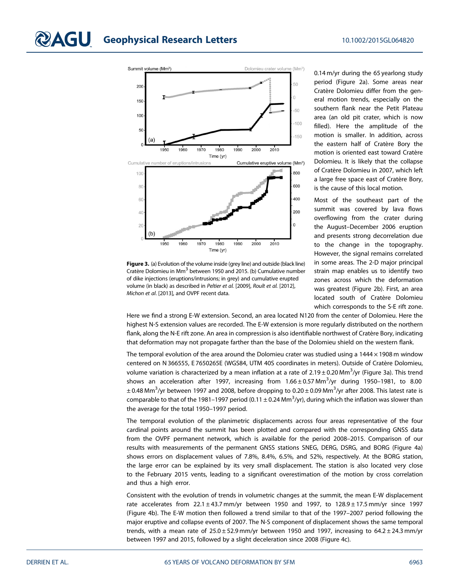

Figure 3. (a) Evolution of the volume inside (grey line) and outside (black line) Cratère Dolomieu in Mm<sup>3</sup> between 1950 and 2015. (b) Cumulative number of dike injections (eruptions/intrusions; in grey) and cumulative erupted volume (in black) as described in Peltier et al. [2009], Roult et al. [2012], Michon et al. [2013], and OVPF recent data.

0.14 m/yr during the 65 yearlong study period (Figure 2a). Some areas near Cratère Dolomieu differ from the general motion trends, especially on the southern flank near the Petit Plateau area (an old pit crater, which is now filled). Here the amplitude of the motion is smaller. In addition, across the eastern half of Cratère Bory the motion is oriented east toward Cratère Dolomieu. It is likely that the collapse of Cratère Dolomieu in 2007, which left a large free space east of Cratère Bory, is the cause of this local motion.

Most of the southeast part of the summit was covered by lava flows overflowing from the crater during the August–December 2006 eruption and presents strong decorrelation due to the change in the topography. However, the signal remains correlated in some areas. The 2-D major principal strain map enables us to identify two zones across which the deformation was greatest (Figure 2b). First, an area located south of Cratère Dolomieu which corresponds to the S-E rift zone.

Here we find a strong E-W extension. Second, an area located N120 from the center of Dolomieu. Here the highest N-S extension values are recorded. The E-W extension is more regularly distributed on the northern flank, along the N-E rift zone. An area in compression is also identifiable northwest of Cratère Bory, indicating that deformation may not propagate farther than the base of the Dolomieu shield on the western flank.

The temporal evolution of the area around the Dolomieu crater was studied using a  $1444 \times 1908$  m window centered on N 366555, E 7650265E (WGS84, UTM 40S coordinates in meters). Outside of Cratère Dolomieu, volume variation is characterized by a mean inflation at a rate of 2.19 $\pm$ 0.20 Mm $^3$ /yr (Figure 3a). This trend shows an acceleration after 1997, increasing from 1.66 $\pm$ 0.57 Mm $^3$ /yr during 1950–1981, to 8.00  $\pm$  0.48 Mm $^3$ /yr between 1997 and 2008, before dropping to 0.20  $\pm$  0.09 Mm $^3$ /yr after 2008. This latest rate is comparable to that of the 1981–1997 period (0.11  $\pm$  0.24 Mm $^3$ /yr), during which the inflation was slower than the average for the total 1950–1997 period.

The temporal evolution of the planimetric displacements across four areas representative of the four cardinal points around the summit has been plotted and compared with the corresponding GNSS data from the OVPF permanent network, which is available for the period 2008–2015. Comparison of our results with measurements of the permanent GNSS stations SNEG, DERG, DSRG, and BORG (Figure 4a) shows errors on displacement values of 7.8%, 8.4%, 6.5%, and 52%, respectively. At the BORG station, the large error can be explained by its very small displacement. The station is also located very close to the February 2015 vents, leading to a significant overestimation of the motion by cross correlation and thus a high error.

Consistent with the evolution of trends in volumetric changes at the summit, the mean E-W displacement rate accelerates from  $22.1 \pm 43.7$  mm/yr between 1950 and 1997, to  $128.9 \pm 17.5$  mm/yr since 1997 (Figure 4b). The E-W motion then followed a trend similar to that of the 1997–2007 period following the major eruptive and collapse events of 2007. The N-S component of displacement shows the same temporal trends, with a mean rate of  $25.0 \pm 52.9$  mm/yr between 1950 and 1997, increasing to 64.2  $\pm$  24.3 mm/yr between 1997 and 2015, followed by a slight deceleration since 2008 (Figure 4c).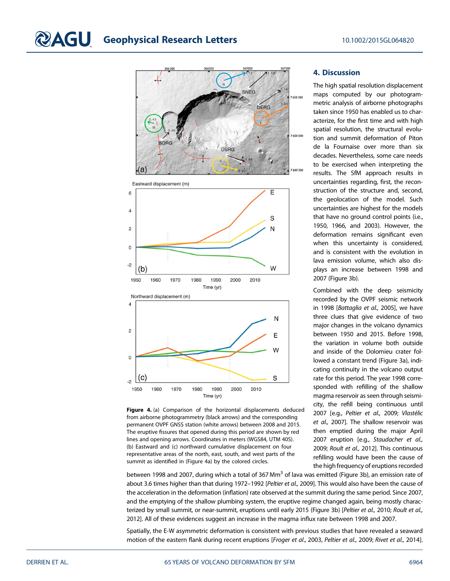$-2$ 1950

1960

1970

1980





Figure 4. (a) Comparison of the horizontal displacements deduced from airborne photogrammetry (black arrows) and the corresponding permanent OVPF GNSS station (white arrows) between 2008 and 2015. The eruptive fissures that opened during this period are shown by red lines and opening arrows. Coordinates in meters (WGS84, UTM 40S). (b) Eastward and (c) northward cumulative displacement on four representative areas of the north, east, south, and west parts of the summit as identified in (Figure 4a) by the colored circles.

1990

Time (yr)

2000

2010

## 4. Discussion

The high spatial resolution displacement maps computed by our photogrammetric analysis of airborne photographs taken since 1950 has enabled us to characterize, for the first time and with high spatial resolution, the structural evolution and summit deformation of Piton de la Fournaise over more than six decades. Nevertheless, some care needs to be exercised when interpreting the results. The SfM approach results in uncertainties regarding, first, the reconstruction of the structure and, second, the geolocation of the model. Such uncertainties are highest for the models that have no ground control points (i.e., 1950, 1966, and 2003). However, the deformation remains significant even when this uncertainty is considered, and is consistent with the evolution in lava emission volume, which also displays an increase between 1998 and 2007 (Figure 3b).

Combined with the deep seismicity recorded by the OVPF seismic network in 1998 [Battaglia et al., 2005], we have three clues that give evidence of two major changes in the volcano dynamics between 1950 and 2015. Before 1998, the variation in volume both outside and inside of the Dolomieu crater followed a constant trend (Figure 3a), indicating continuity in the volcano output rate for this period. The year 1998 corresponded with refilling of the shallow magma reservoir as seen through seismicity, the refill being continuous until 2007 [e.g., Peltier et al., 2009; Vlastélic et al., 2007]. The shallow reservoir was then emptied during the major April 2007 eruption [e.g., Staudacher et al., 2009; Roult et al., 2012]. This continuous refilling would have been the cause of the high frequency of eruptions recorded

between 1998 and 2007, during which a total of 367 Mm<sup>3</sup> of lava was emitted (Figure 3b), an emission rate of about 3.6 times higher than that during 1972-1992 [Peltier et al., 2009]. This would also have been the cause of the acceleration in the deformation (inflation) rate observed at the summit during the same period. Since 2007, and the emptying of the shallow plumbing system, the eruptive regime changed again, being mostly characterized by small summit, or near-summit, eruptions until early 2015 (Figure 3b) [Peltier et al., 2010; Roult et al., 2012]. All of these evidences suggest an increase in the magma influx rate between 1998 and 2007.

Spatially, the E-W asymmetric deformation is consistent with previous studies that have revealed a seaward motion of the eastern flank during recent eruptions [Froger et al., 2003, Peltier et al., 2009; Rivet et al., 2014].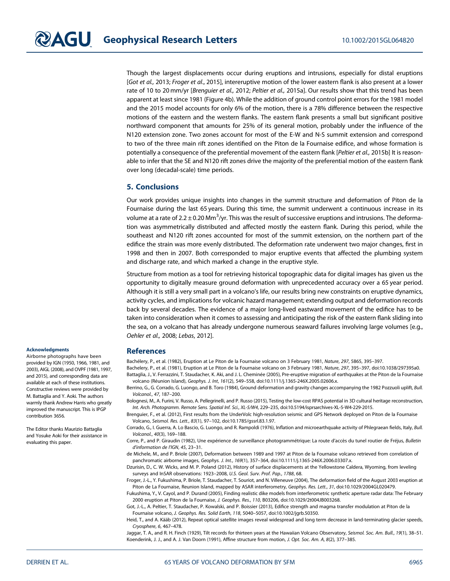Though the largest displacements occur during eruptions and intrusions, especially for distal eruptions [Got et al., 2013; Froger et al., 2015], intereruptive motion of the lower eastern flank is also present at a lower rate of 10 to 20 mm/yr [Brenguier et al., 2012; Peltier et al., 2015a]. Our results show that this trend has been apparent at least since 1981 (Figure 4b). While the addition of ground control point errors for the 1981 model and the 2015 model accounts for only 6% of the motion, there is a 78% difference between the respective motions of the eastern and the western flanks. The eastern flank presents a small but significant positive northward component that amounts for 25% of its general motion, probably under the influence of the N120 extension zone. Two zones account for most of the E-W and N-S summit extension and correspond to two of the three main rift zones identified on the Piton de la Fournaise edifice, and whose formation is potentially a consequence of the preferential movement of the eastern flank [Peltier et al., 2015b] It is reasonable to infer that the SE and N120 rift zones drive the majority of the preferential motion of the eastern flank over long (decadal-scale) time periods.

#### 5. Conclusions

Our work provides unique insights into changes in the summit structure and deformation of Piton de la Fournaise during the last 65 years. During this time, the summit underwent a continuous increase in its volume at a rate of 2.2  $\pm$  0.20 Mm $^3$ /yr. This was the result of successive eruptions and intrusions. The deformation was asymmetrically distributed and affected mostly the eastern flank. During this period, while the southeast and N120 rift zones accounted for most of the summit extension, on the northern part of the edifice the strain was more evenly distributed. The deformation rate underwent two major changes, first in 1998 and then in 2007. Both corresponded to major eruptive events that affected the plumbing system and discharge rate, and which marked a change in the eruptive style.

Structure from motion as a tool for retrieving historical topographic data for digital images has given us the opportunity to digitally measure ground deformation with unprecedented accuracy over a 65 year period. Although it is still a very small part in a volcano's life, our results bring new constraints on eruptive dynamics, activity cycles, and implications for volcanic hazard management; extending output and deformation records back by several decades. The evidence of a major long-lived eastward movement of the edifice has to be taken into consideration when it comes to assessing and anticipating the risk of the eastern flank sliding into the sea, on a volcano that has already undergone numerous seaward failures involving large volumes [e.g., Oehler et al., 2008; Lebas, 2012].

### **References**

Bachélery, P., et al. (1982), Eruption at Le Piton de la Fournaise volcano on 3 February 1981, Nature, 297, 5865, 395–397.

- Bachelery, P., et al. (1981), Eruption at Le Piton de la Fournaise volcano on 3 February 1981, Nature, 297, 395–397, doi:[10.1038/297395a0](http://dx.doi.org/10.1038/297395a0). Battaglia, J., V. Ferrazzini, T. Staudacher, K. Aki, and J. L. Cheminée (2005), Pre-eruptive migration of earthquakes at the Piton de la Fournaise volcano (Réunion Island), Geophys. J. Int, 161(2), 549–558, doi:[10.1111/j.1365-246X.2005.02606.x.](http://dx.doi.org/10.1111/j.1365-246X.2005.02606.x)
- Berrino, G., G. Corrado, G. Luongo, and B. Toro (1984), Ground deformation and gravity changes accompanying the 1982 Pozzuoli uplift, Bull. Volcanol., 47, 187–200.
- Bolognesi, M., A. Furini, V. Russo, A. Pellegrinelli, and P. Russo (2015), Testing the low-cost RPAS potential in 3D cultural heritage reconstruction, Int. Arch. Photogramm. Remote Sens. Spatial Inf. Sci., XL-5/W4, 229–235, doi[:10.5194/isprsarchives-XL-5-W4-229-2015](http://dx.doi.org/10.5194/isprsarchives-XL-5-W4-229-2015).
- Brenguier, F., et al. (2012), First results from the UnderVolc high-resolution seismic and GPS Network deployed on Piton de la Fournaise Volcano, Seismol. Res. Lett., 83(1), 97–102, doi:[10.1785/gssrl.83.1.97](http://dx.doi.org/10.1785/gssrl.83.1.97).
- Corrado, G., I. Guerra, A. Lo Bascio, G. Luongo, and R. Rampoldi (1976), Inflation and microearthquake activity of Phlegraean fields, Italy, Bull. Volcanol., 40(3), 169–188.
- Corre, P., and P. Giraudin (1982), Une expérience de surveillance photogrammétrique: La route d'accès du tunel routier de Fréjus, Bulletin d'information de l'IGN, 45, 23–31.
- de Michele, M., and P. Briole (2007), Deformation between 1989 and 1997 at Piton de la Fournaise volcano retrieved from correlation of panchromatic airborne images, Geophys. J. Int., 169(1), 357–364, doi[:10.1111/j.1365-246X.2006.03307.x](http://dx.doi.org/10.1111/j.1365-246X.2006.03307.x).
- Dzurisin, D., C. W. Wicks, and M. P. Poland (2012), History of surface displacements at the Yellowstone Caldera, Wyoming, from leveling surveys and InSAR observations: 1923–2008, U.S. Geol. Surv. Prof. Pap., 1788, 68.
- Froger, J.-L., Y. Fukushima, P. Briole, T. Staudacher, T. Souriot, and N. Villeneuve (2004), The deformation field of the August 2003 eruption at Piton de La Fournaise, Reunion Island, mapped by ASAR interferometry, Geophys. Res. Lett., 31, doi:[10.1029/2004GL020479](http://dx.doi.org/10.1029/2004GL020479)
- Fukushima, Y., V. Cayol, and P. Durand (2005), Finding realistic dike models from interferometric synthetic aperture radar data: The February 2000 eruption at Piton de la Fournaise, J. Geophys. Res., 110, B03206, doi:[10.1029/2t004JB003268](http://dx.doi.org/10.1029/2t004JB003268).
- Got, J.-L., A. Peltier, T. Staudacher, P. Kowalski, and P. Boissier (2013), Edifice strength and magma transfer modulation at Piton de la Fournaise volcano, J. Geophys. Res. Solid Earth, 118, 5040–5057, doi[:10.1002/jgrb.50350.](http://dx.doi.org/10.1002/jgrb.50350)
- Heid, T., and A. Kääb (2012), Repeat optical satellite images reveal widespread and long term decrease in land-terminating glacier speeds, Cryosphere, 6, 467–478.

Jaggar, T. A., and R. H. Finch (1929), Tilt records for thirteen years at the Hawaiian Volcano Observatory, Seismol, Soc. Am. Bull., 19(1), 38–51. Koenderink, J. J., and A. J. Van Doorn (1991), Affine structure from motion, J. Opt. Soc. Am. A, 8(2), 377–385.

#### Acknowledgments

Airborne photographs have been provided by IGN (1950, 1966, 1981, and 2003), AIGL (2008), and OVPF (1981, 1997, and 2015), and corresponding data are available at each of these institutions. Constructive reviews were provided by M. Battaglia and Y. Aoki. The authors warmly thank Andrew Harris who greatly improved the manuscript. This is IPGP contribution 3656.

The Editor thanks Maurizio Battaglia and Yosuke Aoki for their assistance in evaluating this paper.